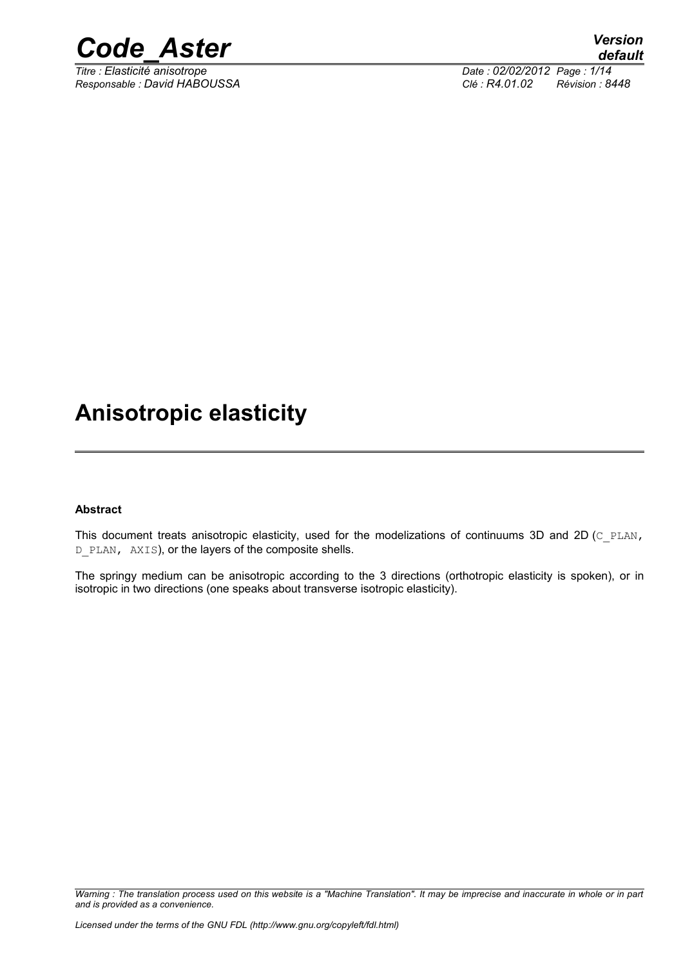

*Titre : Elasticité anisotrope Date : 02/02/2012 Page : 1/14 Responsable : David HABOUSSA Clé : R4.01.02 Révision : 8448*

## **Anisotropic elasticity**

#### **Abstract**

This document treats anisotropic elasticity, used for the modelizations of continuums 3D and 2D (C\_PLAN, D PLAN, AXIS), or the layers of the composite shells.

The springy medium can be anisotropic according to the 3 directions (orthotropic elasticity is spoken), or in isotropic in two directions (one speaks about transverse isotropic elasticity).

*Warning : The translation process used on this website is a "Machine Translation". It may be imprecise and inaccurate in whole or in part and is provided as a convenience.*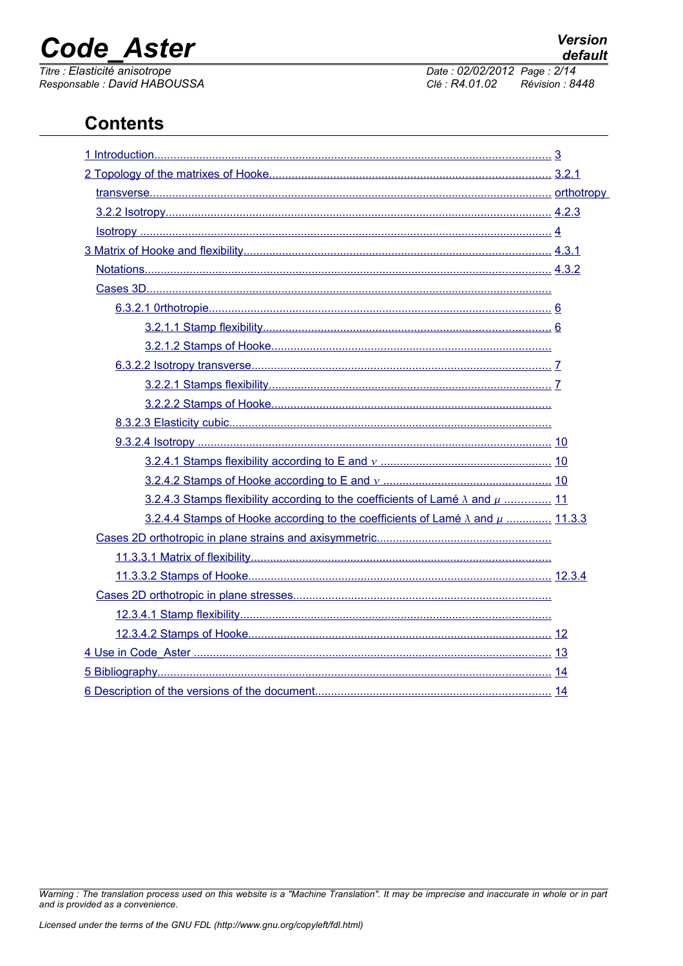# **Code Aster**

Titre : Elasticité anisotrope Responsable : David HABOUSSA Date: 02/02/2012 Page: 2/14 Clé : R4.01.02 Révision : 8448

## **Contents**

| 3.2.4.3 Stamps flexibility according to the coefficients of Lamé $\lambda$ and $\mu$ 11  |  |
|------------------------------------------------------------------------------------------|--|
| 3.2.4.4 Stamps of Hooke according to the coefficients of Lamé $\lambda$ and $\mu$ 11.3.3 |  |
|                                                                                          |  |
|                                                                                          |  |
|                                                                                          |  |
|                                                                                          |  |
|                                                                                          |  |
|                                                                                          |  |
|                                                                                          |  |
|                                                                                          |  |
|                                                                                          |  |

Warning: The translation process used on this website is a "Machine Translation". It may be imprecise and inaccurate in whole or in part and is provided as a convenience.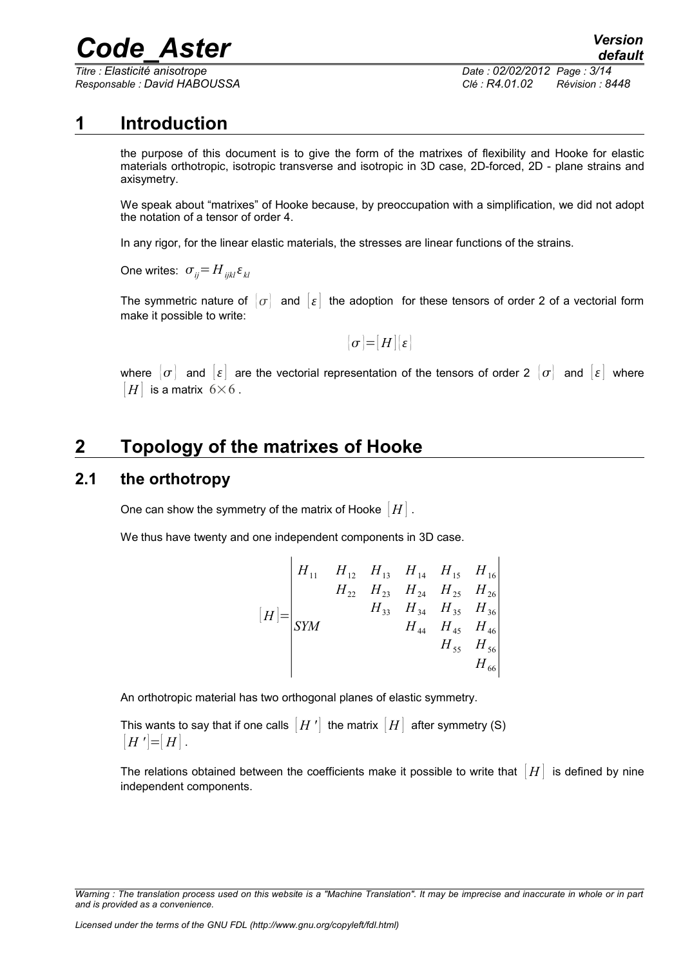*Titre : Elasticité anisotrope Date : 02/02/2012 Page : 3/14*

*Responsable : David HABOUSSA Clé : R4.01.02 Révision : 8448*

### **1 Introduction**

<span id="page-2-0"></span>the purpose of this document is to give the form of the matrixes of flexibility and Hooke for elastic materials orthotropic, isotropic transverse and isotropic in 3D case, 2D-forced, 2D - plane strains and axisymetry.

We speak about "matrixes" of Hooke because, by preoccupation with a simplification, we did not adopt the notation of a tensor of order 4.

In any rigor, for the linear elastic materials, the stresses are linear functions of the strains.

One writes:  $\sigma_{ii} = H_{ijkl} \varepsilon_{kl}$ 

The symmetric nature of  $\{\sigma\}$  and  $\{\varepsilon\}$  the adoption for these tensors of order 2 of a vectorial form make it possible to write:

 $\sigma$  =  $|H|$  { $\epsilon$ }

where  $|\sigma|$  and  $|\varepsilon|$  are the vectorial representation of the tensors of order 2  $|\sigma|$  and  $|\varepsilon|$  where  $|H|$  is a matrix 6×6.

## <span id="page-2-2"></span>**2 Topology of the matrixes of Hooke**

### **2.1 the orthotropy**

<span id="page-2-1"></span>One can show the symmetry of the matrix of Hooke  $|H|$ .

We thus have twenty and one independent components in 3D case.

$$
[H] = \begin{vmatrix} H_{11} & H_{12} & H_{13} & H_{14} & H_{15} & H_{16} \\ & H_{22} & H_{23} & H_{24} & H_{25} & H_{26} \\ & & H_{33} & H_{34} & H_{35} & H_{36} \\ & & & H_{44} & H_{45} & H_{46} \\ & & & & H_{55} & H_{56} \\ & & & & & H_{66} \end{vmatrix}
$$

An orthotropic material has two orthogonal planes of elastic symmetry.

This wants to say that if one calls  $[H']$  the matrix  $[H]$  after symmetry (S)  $| H' | = | H |$ .

The relations obtained between the coefficients make it possible to write that  $[H]$  is defined by nine independent components.

*Warning : The translation process used on this website is a "Machine Translation". It may be imprecise and inaccurate in whole or in part and is provided as a convenience.*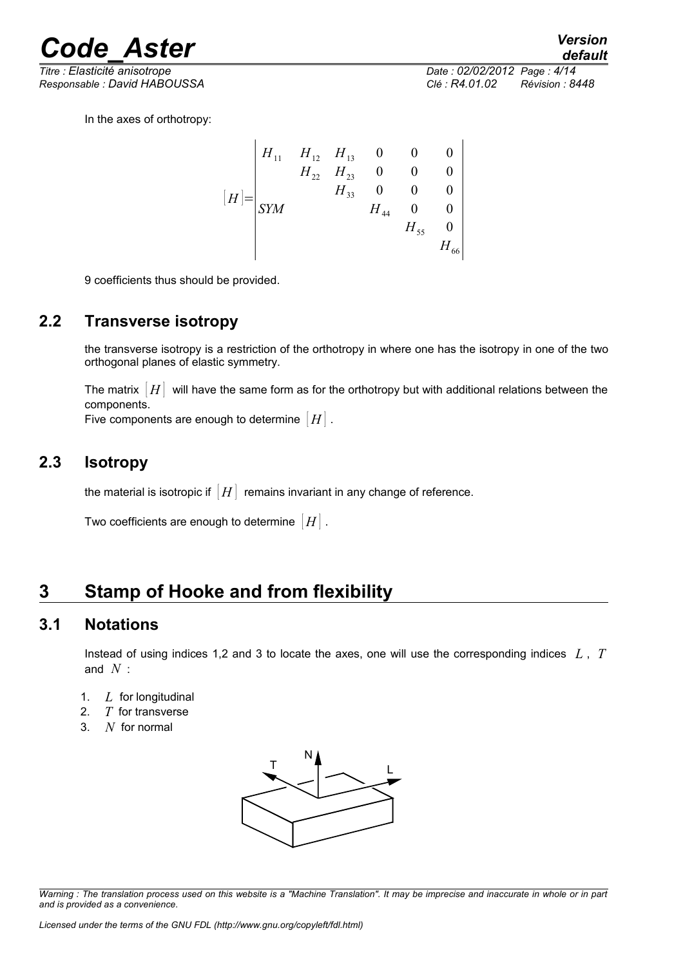*Responsable : David HABOUSSA Clé : R4.01.02 Révision : 8448*

*default Titre : Elasticité anisotrope Date : 02/02/2012 Page : 4/14*

In the axes of orthotropy:

$$
[H] = \begin{vmatrix} H_{11} & H_{12} & H_{13} & 0 & 0 & 0 \\ & H_{22} & H_{23} & 0 & 0 & 0 \\ & & H_{33} & 0 & 0 & 0 \\ & & & H_{44} & 0 & 0 \\ & & & & H_{55} & 0 \\ & & & & & H_{66} \end{vmatrix}
$$

9 coefficients thus should be provided.

### **2.2 Transverse isotropy**

<span id="page-3-3"></span>the transverse isotropy is a restriction of the orthotropy in where one has the isotropy in one of the two orthogonal planes of elastic symmetry.

The matrix  $[H]$  will have the same form as for the orthotropy but with additional relations between the components.

Five components are enough to determine  $|H|$ .

### **2.3 Isotropy**

<span id="page-3-2"></span>the material is isotropic if  $|H|$  remains invariant in any change of reference.

Two coefficients are enough to determine [ *H* ] .

## <span id="page-3-1"></span>**3 Stamp of Hooke and from flexibility**

### **3.1 Notations**

<span id="page-3-0"></span>Instead of using indices 1,2 and 3 to locate the axes, one will use the corresponding indices *L* , *T* and *N* :

- 1. *L* for longitudinal
- 2. *T* for transverse
- 3. *N* for normal



*Warning : The translation process used on this website is a "Machine Translation". It may be imprecise and inaccurate in whole or in part and is provided as a convenience.*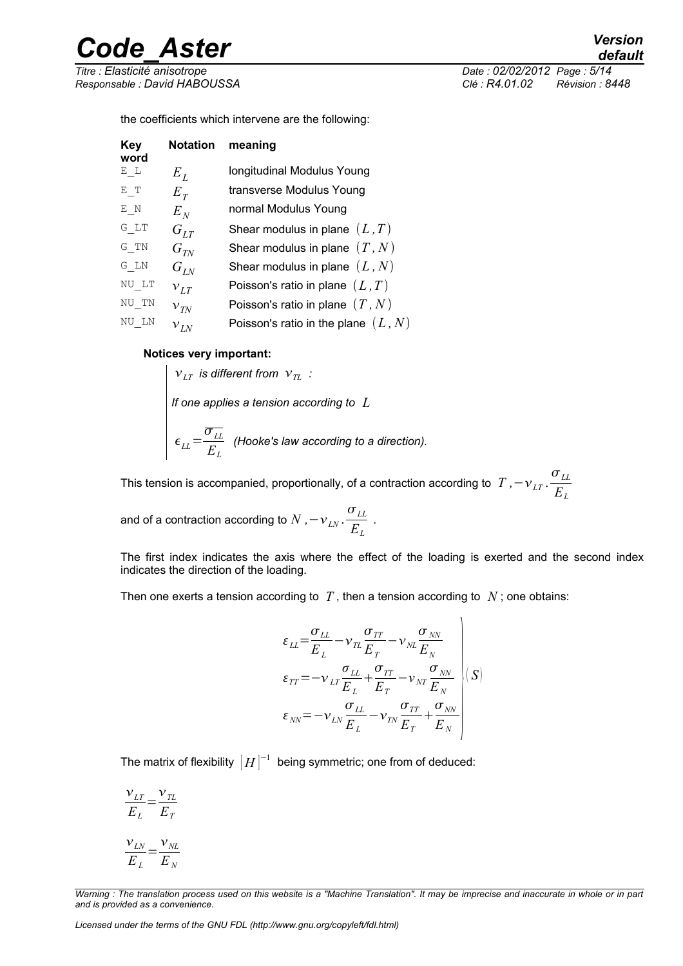*Titre : Elasticité anisotrope Date : 02/02/2012 Page : 5/14*

*Responsable : David HABOUSSA Clé : R4.01.02 Révision : 8448*

the coefficients which intervene are the following:

| Key<br>word | <b>Notation</b>   | meaning                               |
|-------------|-------------------|---------------------------------------|
| E L         | $E_L$             | longitudinal Modulus Young            |
| E T         | $E_T$             | transverse Modulus Young              |
| E N         | $E_N$             | normal Modulus Young                  |
| G LT        | $G_{LT}$          | Shear modulus in plane $(L, T)$       |
| G TN        | $G_{TN}$          | Shear modulus in plane $(T, N)$       |
| G LN        | $G$ <sub>LN</sub> | Shear modulus in plane $(L, N)$       |
| NU LT       | $v_{LT}$          | Poisson's ratio in plane $(L, T)$     |
| NU TN       | $v_{\text{TN}}$   | Poisson's ratio in plane $(T, N)$     |
| NU LN       | $v_{LN}$          | Poisson's ratio in the plane $(L, N)$ |

#### **Notices very important:**

 $v_{LT}$  *is different from*  $v_{TL}$  *: If one applies a tension according to L*  $\epsilon_{LL}$  =  $\overline{\sigma}_{LL}$  $\frac{L}{E_L}$  (Hooke's law according to a direction).

This tension is accompanied, proportionally, of a contraction according to  $\left.T\right.$  *,*− $\overline{\nu}_{LT}$  .  $\sigma$ <sub>*LL*</sub> *EL*

and of a contraction according to  $N$  *,* $-\nu_{_{LN}}$  .  $\sigma$ <sub>*LL*</sub>  $\frac{E_L}{E_L}$ .

The first index indicates the axis where the effect of the loading is exerted and the second index indicates the direction of the loading.

 $\overline{1}$ 

Then one exerts a tension according to  $T$ , then a tension according to  $N$ ; one obtains:

$$
\varepsilon_{LL} = \frac{\sigma_{LL}}{E_L} - \nu_{TL} \frac{\sigma_{TT}}{E_T} - \nu_{NL} \frac{\sigma_{NN}}{E_N}
$$
\n
$$
\varepsilon_{TT} = -\nu_{LT} \frac{\sigma_{LL}}{E_L} + \frac{\sigma_{TT}}{E_T} - \nu_{NT} \frac{\sigma_{NN}}{E_N}
$$
\n
$$
\varepsilon_{NN} = -\nu_{LN} \frac{\sigma_{LL}}{E_L} - \nu_{TN} \frac{\sigma_{TT}}{E_T} + \frac{\sigma_{NN}}{E_N}
$$

The matrix of flexibility  $\, \lceil H \rceil^{-1} \,$  being symmetric; one from of deduced:

$$
\frac{v_{LT}}{E_L} = \frac{v_{TL}}{E_T}
$$

$$
\frac{v_{LN}}{E_L} = \frac{v_{NL}}{E_N}
$$

*Licensed under the terms of the GNU FDL (http://www.gnu.org/copyleft/fdl.html)*

*Warning : The translation process used on this website is a "Machine Translation". It may be imprecise and inaccurate in whole or in part and is provided as a convenience.*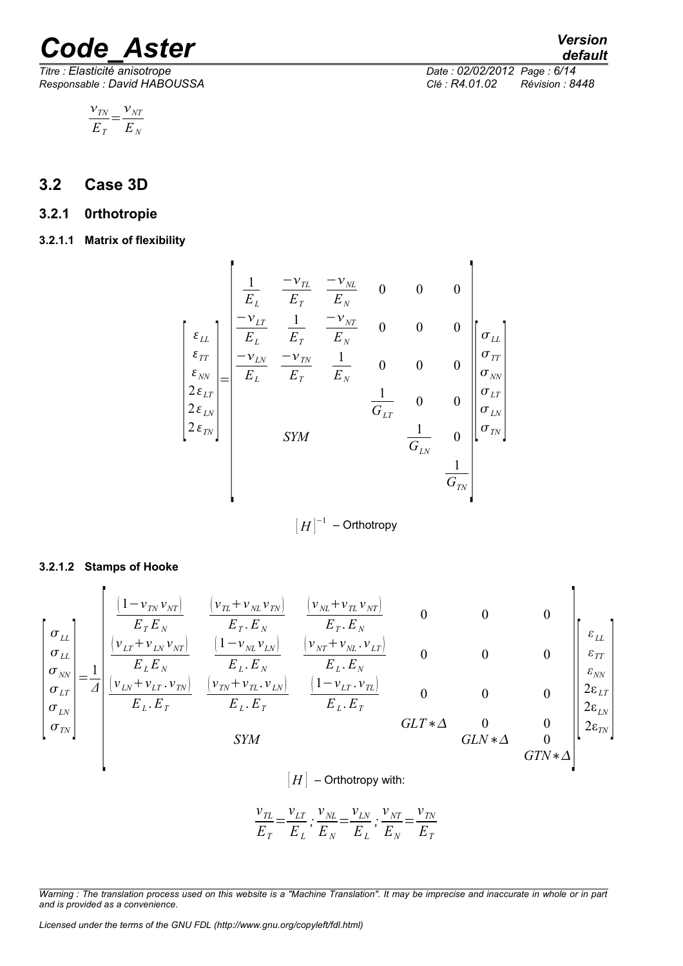$$
\frac{v_{\text{TN}}}{E_{\text{T}}} = \frac{v_{\text{NT}}}{E_{\text{N}}}
$$

### <span id="page-5-3"></span>**3.2 Case 3D**

### <span id="page-5-2"></span>**3.2.1 0rthotropie**

<span id="page-5-1"></span>**3.2.1.1 Matrix of flexibility**

 $\blacksquare$ 

$$
\begin{bmatrix}\n\boldsymbol{\varepsilon}_{LL} \\
\boldsymbol{\varepsilon}_{LT} \\
\boldsymbol{\varepsilon}_{TN} \\
\boldsymbol{\varepsilon}_{SN} \\
\boldsymbol{\varepsilon}_{SN} \\
\boldsymbol{\varepsilon}_{SN} \\
\boldsymbol{\varepsilon}_{SN}\n\end{bmatrix} = \begin{bmatrix}\n\frac{1}{E_L} & \frac{-\boldsymbol{\nu}_{TL}}{E_T} & \frac{-\boldsymbol{\nu}_{NL}}{E_N} & 0 & 0 & 0 \\
\frac{-\boldsymbol{\nu}_{LT}}{E_L} & \frac{1}{E_T} & \frac{-\boldsymbol{\nu}_{NT}}{E_N} & 0 & 0 & 0 \\
\frac{-\boldsymbol{\nu}_{LN}}{E_L} & \frac{-\boldsymbol{\nu}_{TN}}{E_T} & \frac{1}{E_N} & 0 & 0 & 0 \\
\frac{\boldsymbol{\sigma}_{ST}}{\boldsymbol{\sigma}_{LT}} & \frac{1}{\boldsymbol{\sigma}_{LT}} & 0 & 0 & 0 \\
\frac{\boldsymbol{\sigma}_{LT}}{\boldsymbol{\sigma}_{LN}} & \frac{1}{\boldsymbol{\sigma}_{LN}} & 0 & 0 \\
\frac{\boldsymbol{\sigma}_{LN}}{\boldsymbol{\sigma}_{TN}} & \frac{1}{\boldsymbol{\sigma}_{LN}} & 0 & \frac{1}{\boldsymbol{\sigma}_{TN}}\n\end{bmatrix}
$$
\n
$$
SYM \qquad \begin{bmatrix}\n\boldsymbol{\varepsilon}_{LT} \\
\boldsymbol{\varepsilon}_{TN} \\
\frac{1}{\boldsymbol{\sigma}_{TN}}\n\end{bmatrix}
$$

 $\left[ H\right] ^{-1}$  – Orthotropy

#### **3.2.1.2 Stamps of Hooke**

<span id="page-5-0"></span> $\mathbf{r}$ 

$$
\begin{bmatrix}\n\sigma_{LL} \\
\sigma_{LL} \\
\sigma_{LL} \\
\sigma_{LN} \\
\sigma_{LN} \\
\sigma_{IN} \\
\sigma_{IN}\n\end{bmatrix} = \frac{1}{A} \begin{bmatrix}\n\frac{(1 - v_{TN}v_{NT})}{E_T E_N} & \frac{(v_{NT} + v_{NL}v_{TN})}{E_T E_N} & \frac{(v_{NT} + v_{NL}v_{NT})}{E_T E_N} & 0 & 0 & 0 \\
\frac{(v_{LT} + v_{LN}v_{NT})}{E_L E_N} & \frac{(1 - v_{NL}v_{LN})}{E_L E_N} & \frac{(v_{NT} + v_{NL}v_{LT})}{E_L E_N} & 0 & 0 & 0 \\
\frac{(v_{LN} + v_{LT}v_{TN})}{E_L E_T} & \frac{(v_{TN} + v_{TL}v_{LN})}{E_L E_T} & \frac{(1 - v_{LT}v_{TL})}{E_L E_T} & 0 & 0 & 0 \\
\frac{(1 - v_{LT}v_{TV})}{E_L E_T} & \frac{(1 - v_{LT}v_{TL})}{E_L E_T} & 0 & 0 & 0 \\
\frac{(1 - v_{LT}v_{NL})}{E_L E_T} & \frac{(1 - v_{LT}v_{TL})}{E_L E_T} & 0 & 0 & 0 \\
\frac{(1 - v_{LT}v_{NL})}{E_L E_T} & \frac{(1 - v_{LT}v_{TL})}{E_L E_T} & 0 & 0 & 0 \\
\frac{(1 - v_{LT}v_{NL})}{E_L E_T} & \frac{(1 - v_{LT}v_{TL})}{E_L E_T} & 0 & 0 & 0 \\
\frac{(1 - v_{LT}v_{NL})}{E_L E_T} & \frac{(1 - v_{LT}v_{NL})}{E_L E_T} & 0 & 0 & 0 \\
\frac{(1 - v_{LT}v_{NL})}{E_L E_T} & \frac{(1 - v_{LT}v_{NL})}{E_L E_T} & 0 & 0 & 0 \\
\frac{(1 - v_{LT}v_{NL})}{E_L E_T} & \frac{(1 - v_{LT}v_{NL})}{E_L E_T} & 0 & 0 & 0 \\
\frac{(1 - v_{LT}v_{NL})}{E_L E_T} & \frac{(1 - v_{LT}v_{NL})}{E_L E_T} & 0 & 0 & 0 \\
\frac{(1 - v_{LT}v_{NL})}{E_L E_T} & \frac{(1 - v_{LT}v_{NL})}{E_L E_T} & 0 & 0 & 0 \\
\frac{(1 - v_{LT}v_{NL})}{E_L E_T} & \frac{(1
$$

 $|H|$  – Orthotropy with:

$$
\frac{v_{TL}}{E_T} = \frac{v_{LT}}{E_L}; \frac{v_{NL}}{E_N} = \frac{v_{LN}}{E_L}; \frac{v_{NT}}{E_N} = \frac{v_{TN}}{E_T}
$$

*Warning : The translation process used on this website is a "Machine Translation". It may be imprecise and inaccurate in whole or in part and is provided as a convenience.*

*Licensed under the terms of the GNU FDL (http://www.gnu.org/copyleft/fdl.html)*

*default*

ł

*Titre : Elasticité anisotrope Date : 02/02/2012 Page : 6/14 Responsable : David HABOUSSA Clé : R4.01.02 Révision : 8448*

×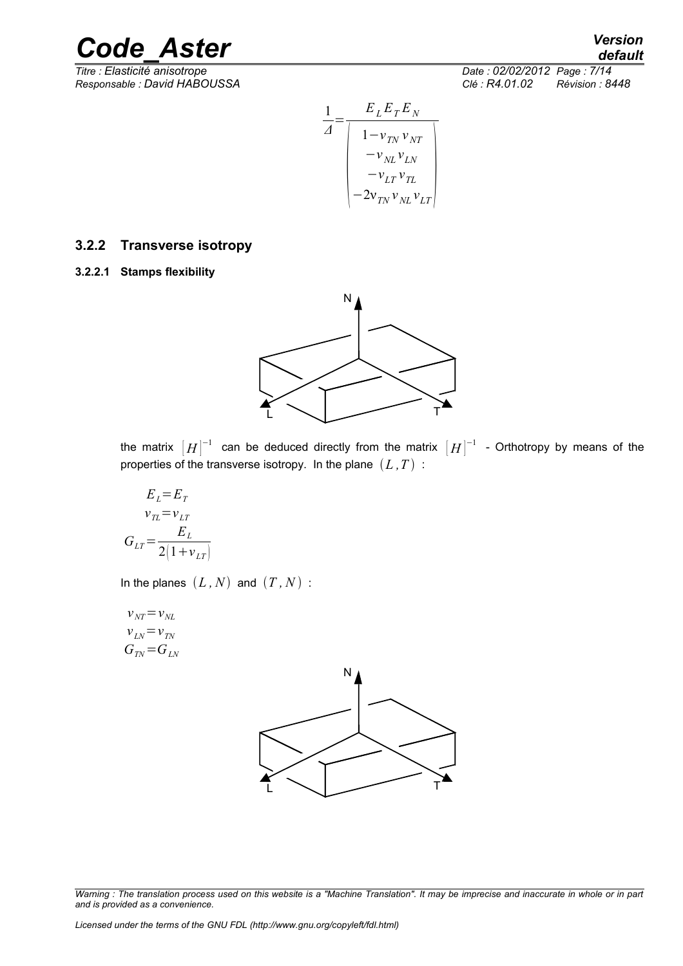*Titre : Elasticité anisotrope Date : 02/02/2012 Page : 7/14 Responsable : David HABOUSSA Clé : R4.01.02 Révision : 8448*

*default*

$$
\frac{1}{\Delta} = \frac{E_L E_T E_N}{\begin{vmatrix} 1 - v_{TN} v_{NT} \\ -v_{NL} v_{LN} \\ -v_{LT} v_{TL} \\ -2v_{TN} v_{NL} v_{LT} \end{vmatrix}}
$$

### <span id="page-6-1"></span>**3.2.2 Transverse isotropy**

<span id="page-6-0"></span>**3.2.2.1 Stamps flexibility**



the matrix  $\lceil H \rceil^{-1}$  can be deduced directly from the matrix  $\lceil H \rceil^{-1}$  - Orthotropy by means of the properties of the transverse isotropy. In the plane  $(L, T)$ :

$$
E_L = E_T
$$
  
\n
$$
v_{TL} = v_{LT}
$$
  
\n
$$
G_{LT} = \frac{E_L}{2(1 + v_{LT})}
$$

In the planes  $(L, N)$  and  $(T, N)$ :

$$
v_{NT} = v_{NL}
$$
  
\n
$$
v_{LN} = v_{TN}
$$
  
\n
$$
G_{TN} = G_{LN}
$$



*Warning : The translation process used on this website is a "Machine Translation". It may be imprecise and inaccurate in whole or in part and is provided as a convenience.*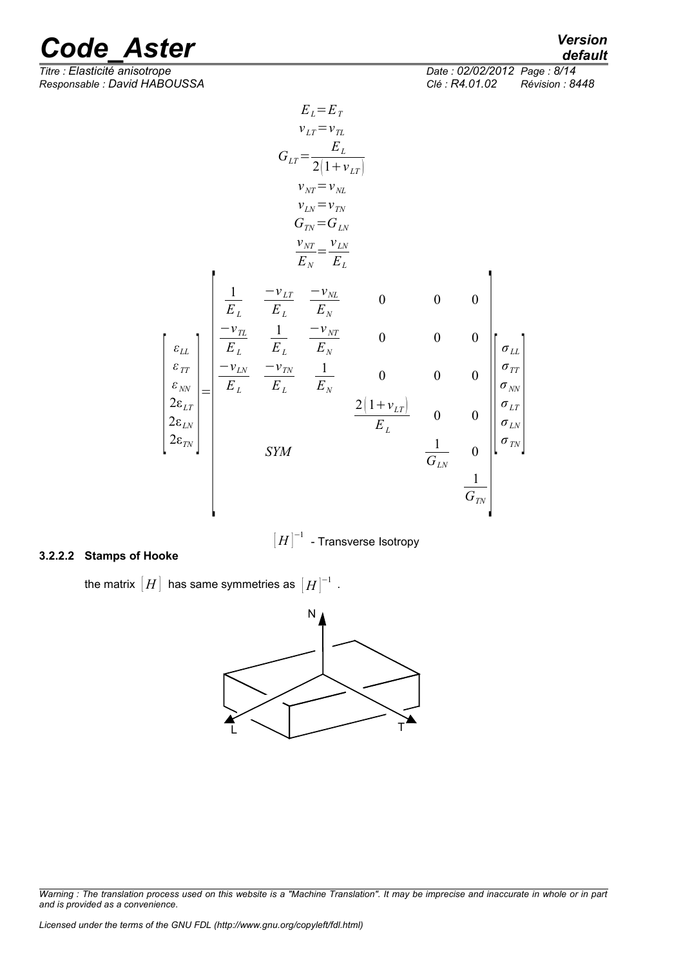*default*

 $\overline{T}$ itre : *Elasticité anisotrope Responsable : David HABOUSSA Clé : R4.01.02 Révision : 8448*

| Date: 02/02/2012 Page: 8/14 |                 |
|-----------------------------|-----------------|
| Clé : R4.01.02              | Révision : 8448 |

$$
E_{L} = E_{T}
$$
\n
$$
V_{LT} = v_{TL}
$$
\n
$$
G_{LT} = \frac{E_{L}}{2(1 + v_{LT})}
$$
\n
$$
v_{NT} = v_{NL}
$$
\n
$$
v_{LN} = v_{TN}
$$
\n
$$
G_{TN} = G_{LN}
$$
\n
$$
\frac{v_{NT}}{E_{N}} = \frac{v_{LN}}{E_{L}}
$$
\n
$$
\frac{v_{NT}}{E_{L}} = \frac{-v_{NL}}{E_{L}}
$$
\n
$$
G_{TN} = \frac{-v_{NL}}{E_{L}}
$$
\n
$$
G_{LN}
$$
\n
$$
\frac{v_{NT}}{E_{N}}
$$
\n
$$
G_{LN}
$$
\n
$$
G_{LN}
$$
\n
$$
G_{LN}
$$
\n
$$
G_{LN}
$$
\n
$$
2(v_{LN}) = \frac{2(1 + v_{LT})}{E_{L}}
$$
\n
$$
G_{LN}
$$
\n
$$
G_{LN}
$$
\n
$$
G_{LN}
$$
\n
$$
G_{IN}
$$
\n
$$
G_{IN}
$$
\n
$$
G_{IN}
$$
\n
$$
G_{IN}
$$
\n
$$
G_{IN}
$$
\n
$$
G_{IN}
$$
\n
$$
G_{IN}
$$
\n
$$
G_{IN}
$$
\n
$$
G_{IN}
$$

 $\left\vert H\right\vert ^{-1}$  - Transverse Isotropy

#### **3.2.2.2 Stamps of Hooke**

<span id="page-7-0"></span>the matrix  $\big[ H \big]$  has same symmetries as  $\big[ H \big]^{-1}$  .



*Warning : The translation process used on this website is a "Machine Translation". It may be imprecise and inaccurate in whole or in part and is provided as a convenience.*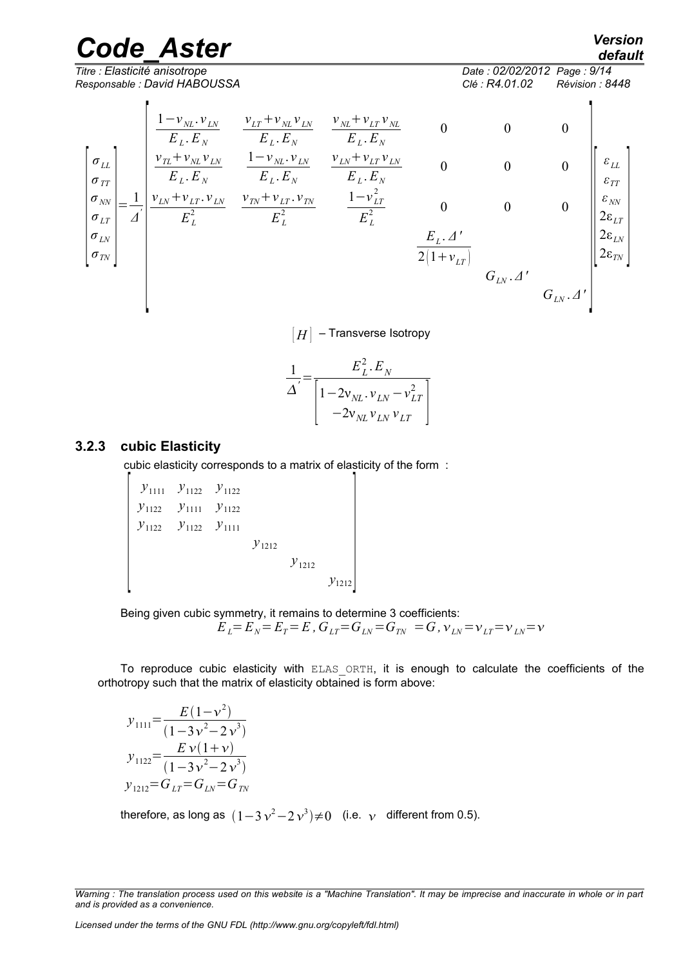*Responsable : David HABOUSSA Clé : R4.01.02 Révision : 8448*

*default*

*Titre : Elasticité anisotrope Date : 02/02/2012 Page : 9/14*

$$
\begin{bmatrix}\n\sigma_{LL} \\
\sigma_{IL} \\
\sigma_{\eta\eta} \\
\sigma_{LN} \\
\sigma_{LN} \\
\sigma_{LN}\n\end{bmatrix} = \frac{1}{d} \begin{bmatrix}\n\frac{1 - v_{NL} \cdot v_{LN}}{E_L E_N} & \frac{v_{NL} + v_{LT} v_{NL}}{E_L E_N} & 0 & 0 & 0 \\
\frac{v_{TL} + v_{NL} v_{LN}}{E_L E_N} & \frac{1 - v_{NL} \cdot v_{LN}}{E_L E_N} & \frac{v_{LN} + v_{LT} v_{LN}}{E_L E_N} & 0 & 0 & 0 \\
\frac{v_{LN} + v_{LT} v_{NL}}{E_L E_N} & \frac{v_{TV} + v_{LT} v_{TV}}{E_L^2} & \frac{1 - v_{LT}^2}{E_L^2} & 0 & 0 & 0 \\
\frac{v_{LN}}{E_L} & \frac{v_{L}^2}{E_L^2} & \frac{1 - v_{LT}^2}{E_L^2} & 0 & 0 & 0 \\
\frac{v_{LN}}{E_L E_N} & \frac{v_{L}^2}{E_L^2} & \frac{v_{L}^2}{E_L^2} & 0 & 0 & 0 \\
\frac{v_{L}^2}{E_L E_N} & \frac{v_{L}^2}{E_L^2} & \frac{v_{L}^2}{E_L^2} & 0 & 0 & 0 \\
\frac{v_{L}^2}{E_L E_N} & \frac{v_{L}^2}{E_L^2} & \frac{v_{L}^2}{E_L^2} & 0 & 0 & 0 \\
\frac{v_{L}^2}{E_L E_N} & \frac{v_{L}^2}{E_L E_N} & \frac{v_{L}^2}{E_L E_N} & 0 & 0 & 0 \\
\frac{v_{L}^2}{E_N E_N} & \frac{v_{L}^2}{E_N E_N} & \frac{v_{L}^2}{E_N} & 0 & 0 & 0 \\
\frac{v_{L}^2}{E_N E_N} & \frac{v_{L}^2}{E_N E_N} & \frac{v_{L}^2}{E_N E_N} & 0 & 0 & 0 \\
\frac{v_{L}^2}{E_N E_N} & \frac{v_{L}^2}{E_N E_N} & \frac{v_{L}^2}{E_N E_N} & 0 & 0 & 0 \\
\frac{v_{L}^2}{E_N E_N} & \frac{v_{L}^2}{E_N E_N} & \frac{v_{L}
$$

 $\vert H \vert$  *–* Transverse Isotropy

$$
\frac{1}{\Delta} = \frac{E_L^2.E_N}{\left[1 - 2v_{NL} \cdot v_{LN} - v_{LT}^2\right]} - 2v_{NL}v_{LN}v_{LT}
$$

### **3.2.3 cubic Elasticity**

<span id="page-8-0"></span>cubic elasticity corresponds to a matrix of elasticity of the form :

 $\mathbb{R}$ *y*<sup>1111</sup> *y*<sup>1122</sup> *y*<sup>1122</sup> *y*<sup>1122</sup> *y*<sup>1111</sup> *y*<sup>1122</sup> *y*<sub>1122</sub> *y*<sub>11111</sub> *y*<sup>1212</sup> *y*<sup>1212</sup> *<sup>y</sup>*1212]

Being given cubic symmetry, it remains to determine 3 coefficients:  $E_L = E_N = E_T = E$ ,  $G_{LT} = G_{LN} = G_{TN} = G$ ,  $v_{LN} = v_{LT} = v_{LN} = v_{L}$ 

To reproduce cubic elasticity with ELAS ORTH, it is enough to calculate the coefficients of the orthotropy such that the matrix of elasticity obtained is form above:

$$
y_{1111} = \frac{E(1 - v^2)}{(1 - 3v^2 - 2v^3)}
$$
  
\n
$$
y_{1122} = \frac{E v(1 + v)}{(1 - 3v^2 - 2v^3)}
$$
  
\n
$$
y_{1212} = G_{LT} = G_{LN} = G_{TN}
$$

therefore, as long as  $(1-3\,\nu^2\!-\!2\,\nu^3)\!\neq\!0$  (i.e.  $\,\nu$  different from 0.5).

*Warning : The translation process used on this website is a "Machine Translation". It may be imprecise and inaccurate in whole or in part and is provided as a convenience.*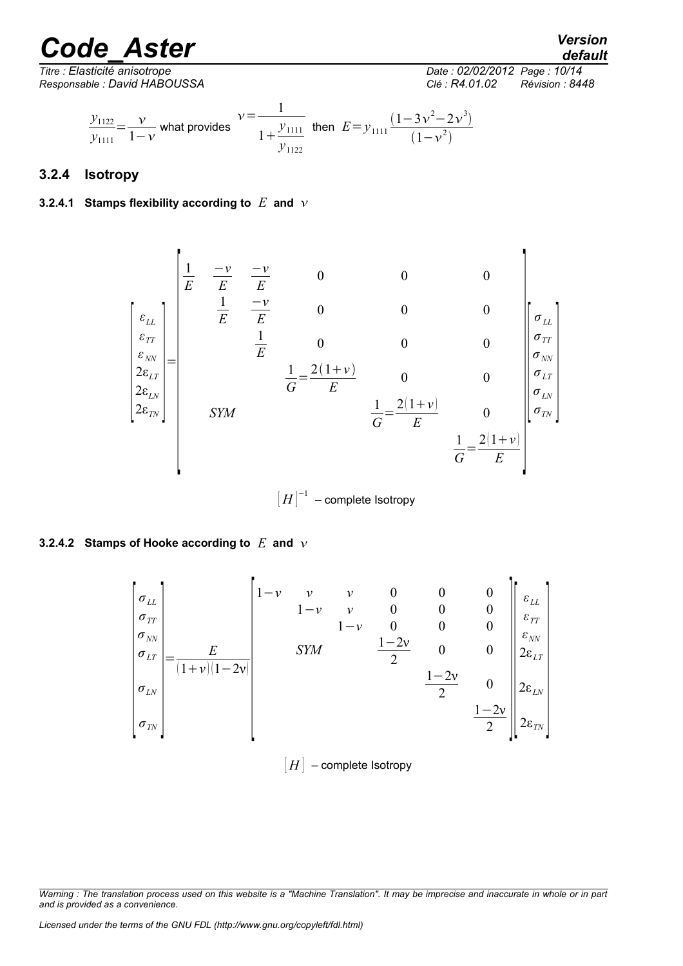*default*

*Titre : Elasticité anisotrope Date : 02/02/2012 Page : 10/14 Responsable : David HABOUSSA Clé : R4.01.02 Révision : 8448*

 $\overline{a}$ 

$$
\frac{y_{1122}}{y_{1111}} = \frac{v}{1 - v}
$$
 what provides  $v = \frac{1}{1 + \frac{y_{1111}}{y_{1122}}}$  then  $E = y_{1111} \frac{(1 - 3v^2 - 2v^3)}{(1 - v^2)}$ 

### <span id="page-9-2"></span>**3.2.4 Isotropy**

#### <span id="page-9-1"></span>**3.2.4.1** Stamps flexibility according to  $E$  and  $\nu$

$$
\begin{bmatrix}\n\frac{1}{E} & \frac{-\nu}{E} & \frac{-\nu}{E} & 0 & 0 & 0 \\
\frac{\varepsilon_{LL}}{\varepsilon_{\gamma\gamma}}\n\end{bmatrix}\n=\n\begin{bmatrix}\n\frac{1}{E} & \frac{-\nu}{E} & 0 & 0 & 0 \\
\frac{\varepsilon_{\gamma N}}{\varepsilon_{\gamma\gamma}}\n\end{bmatrix}\n\begin{bmatrix}\n\frac{1}{E} & \frac{-\nu}{E} & 0 & 0 & 0 \\
\frac{1}{E} & 0 & 0 & 0 & 0 \\
\frac{1}{E} & \frac{2(1+\nu)}{E} & 0 & 0 & \frac{1}{\sigma_{LT}} \\
\frac{1}{E} & \frac{2(1+\nu)}{E} & 0 & 0 & \frac{1}{\sigma_{LT}} \\
\frac{1}{E} & \frac{2(1+\nu)}{E} & 0 & \frac{1}{\sigma_{TN}}\n\end{bmatrix}
$$

 $\left\lceil H\right\rceil^{-1}$  – complete Isotropy

#### <span id="page-9-0"></span>**3.2.4.2 Stamps of Hooke according to** *E* **and**

$$
\begin{bmatrix}\n\sigma_{LL} \\
\sigma_{TT} \\
\sigma_{\eta\nu} \\
\sigma_{LY} \\
\sigma_{LN} \\
\sigma_{TN}\n\end{bmatrix} = \frac{E}{(1+v)(1-2v)}\n\begin{bmatrix}\n1-v & v & 0 & 0 & 0 & 0 \\
1-v & v & 0 & 0 & 0 & 0 \\
1-v & v & 0 & 0 & 0 & 0 \\
1-v & 0 & 0 & 0 & 0 & 0 \\
2 & 0 & 0 & 0 & 0 & 0 \\
2 & 0 & 0 & 0 & 0 & 0 \\
2\varepsilon_{LN} \\
\sigma_{TN}\n\end{bmatrix}
$$
\n
$$
\sigma_{TN}
$$

 $[H]$  – complete Isotropy

*Warning : The translation process used on this website is a "Machine Translation". It may be imprecise and inaccurate in whole or in part and is provided as a convenience.*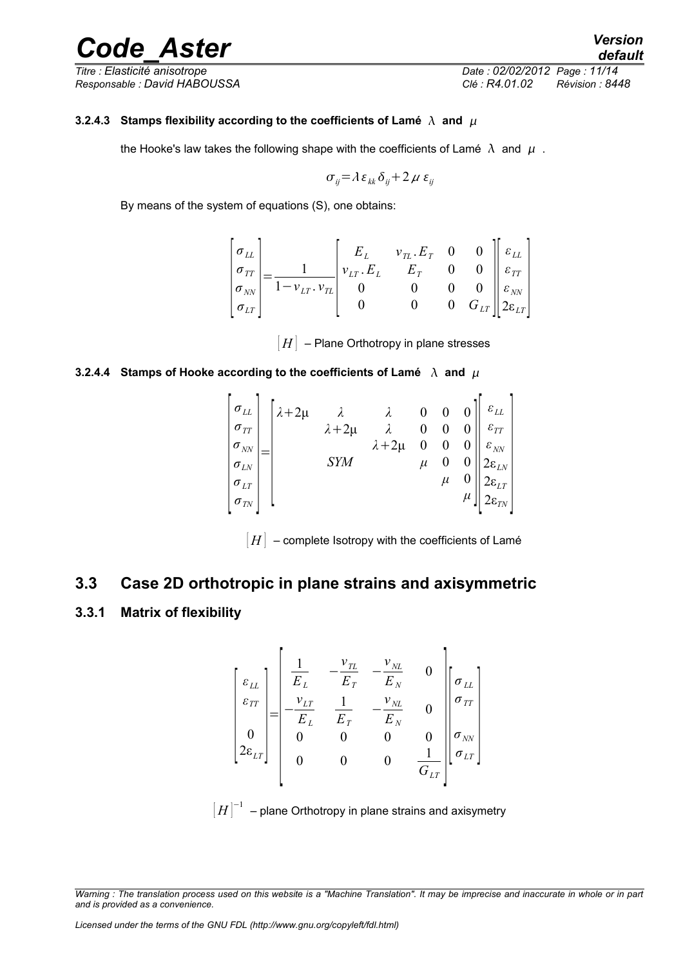*Titre : Elasticité anisotrope Date : 02/02/2012 Page : 11/14 Responsable : David HABOUSSA Clé : R4.01.02 Révision : 8448*

#### **3.2.4.3** Stamps flexibility according to the coefficients of Lamé  $\lambda$  and  $\mu$

<span id="page-10-3"></span>the Hooke's law takes the following shape with the coefficients of Lamé  $\lambda$  and  $\mu$ .

$$
\sigma_{ij} = \lambda \, \varepsilon_{kk} \, \delta_{ij} + 2 \, \mu \, \varepsilon_{ij}
$$

By means of the system of equations (S), one obtains:

$$
\begin{bmatrix} \sigma_{LL} \\ \sigma_{TT} \\ \sigma_{NN} \\ \sigma_{LT} \end{bmatrix} = \frac{1}{1 - \nu_{LT} \cdot \nu_{TL}} \begin{bmatrix} E_L & \nu_{TL} \cdot E_T & 0 & 0 \\ \nu_{LT} \cdot E_L & E_T & 0 & 0 \\ 0 & 0 & 0 & 0 \\ 0 & 0 & 0 & G_{LT} \end{bmatrix} \begin{bmatrix} \varepsilon_{LL} \\ \varepsilon_{TT} \\ \varepsilon_{NN} \\ 2\varepsilon_{LT} \end{bmatrix}
$$

 $[H]$  – Plane Orthotropy in plane stresses

#### <span id="page-10-2"></span>**3.2.4.4** Stamps of Hooke according to the coefficients of Lamé  $\lambda$  and  $\mu$



 $[H]$  – complete Isotropy with the coefficients of Lamé

### <span id="page-10-1"></span>**3.3 Case 2D orthotropic in plane strains and axisymmetric**

#### <span id="page-10-0"></span>**3.3.1 Matrix of flexibility**

$$
\begin{bmatrix} \varepsilon_{LL} \\ \varepsilon_{TT} \\ 0 \\ 2\varepsilon_{LT} \end{bmatrix} = \begin{bmatrix} \frac{1}{E_L} & -\frac{v_{TL}}{E_T} & -\frac{v_{NL}}{E_N} & 0 \\ -\frac{v_{LT}}{E_L} & \frac{1}{E_T} & -\frac{v_{NL}}{E_N} & 0 \\ 0 & 0 & 0 & 0 \\ 0 & 0 & 0 & \frac{1}{G_{LT}} \end{bmatrix} \begin{bmatrix} \sigma_{LL} \\ \sigma_{TT} \\ \sigma_{\text{NN}} \\ \sigma_{LT} \end{bmatrix}
$$

 $\left[ H\right] ^{-1}$  – plane Orthotropy in plane strains and axisymetry

*Warning : The translation process used on this website is a "Machine Translation". It may be imprecise and inaccurate in whole or in part and is provided as a convenience.*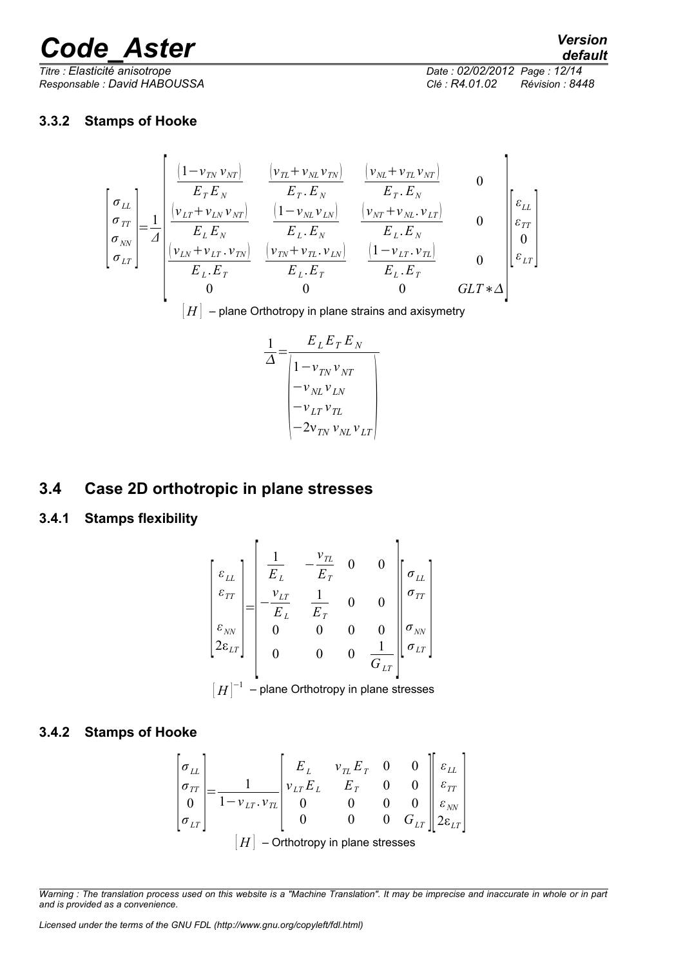*Titre : Elasticité anisotrope Date : 02/02/2012 Page : 12/14 Responsable : David HABOUSSA Clé : R4.01.02 Révision : 8448*

### <span id="page-11-3"></span>**3.3.2 Stamps of Hooke**

l,

$$
\begin{bmatrix}\n\sigma_{LL} \\
\sigma_{LT} \\
\sigma_{NT} \\
\sigma_{LT}\n\end{bmatrix} = \frac{1}{d} \begin{bmatrix}\n\frac{\left(1 - v_{TN} v_{NT}\right)}{E_T E_N} & \frac{\left(v_{TL} + v_{NL} v_{TN}\right)}{E_T E_N} & \frac{\left(v_{NL} + v_{TL} v_{NT}\right)}{E_T E_N} & 0 \\
\frac{\left(v_{LT} + v_{LN} v_{NT}\right)}{E_L E_N} & \frac{\left(1 - v_{NL} v_{LN}\right)}{E_L E_N} & \frac{\left(v_{NT} + v_{NL} v_{LT}\right)}{E_L E_N} & 0 \\
\frac{\left(v_{NT} + v_{NL} v_{NT}\right)}{E_L E_T} & \frac{\left(v_{TN} + v_{NL} v_{LN}\right)}{E_L E_T} & \frac{\left(1 - v_{LT} v_{TL}\right)}{E_L E_T} & 0 \\
0 & 0 & 0 & GLT * \Delta\n\end{bmatrix} \begin{bmatrix}\n\epsilon_{LL} \\
\epsilon_{LT} \\
0 \\
\epsilon_{LT}\n\end{bmatrix}
$$

 $[H]$  – plane Orthotropy in plane strains and axisymetry

$$
\frac{1}{\Delta} = \frac{E_L E_T E_N}{\begin{vmatrix} 1 - v_{TN} v_{NT} \\ - v_{NL} v_{LN} \\ - v_{LT} v_{TL} \\ - 2v_{TN} v_{NL} v_{LT} \end{vmatrix}}
$$

### <span id="page-11-2"></span>**3.4 Case 2D orthotropic in plane stresses**

<span id="page-11-1"></span>**3.4.1 Stamps flexibility**

$$
\begin{bmatrix} \varepsilon_{LL} \\ \varepsilon_{TT} \\ \varepsilon_{NT} \\ 2\varepsilon_{LT} \end{bmatrix} = \begin{bmatrix} \frac{1}{E_L} & -\frac{v_{TL}}{E_T} & 0 & 0 \\ -\frac{v_{LT}}{E_L} & \frac{1}{E_T} & 0 & 0 \\ 0 & 0 & 0 & 0 \\ 0 & 0 & 0 & \frac{1}{G_{LT}} \\ 0 & 0 & 0 & \frac{1}{G_{LT}} \end{bmatrix} \begin{bmatrix} \sigma_{LL} \\ \sigma_{TY} \\ \sigma_{LT} \end{bmatrix}
$$

$$
[H]^{-1}
$$
 - plane Orthotropy in plane stresses

### <span id="page-11-0"></span>**3.4.2 Stamps of Hooke**

$$
\begin{bmatrix} \sigma_{LL} \\ \sigma_{TT} \\ 0 \\ \sigma_{LT} \end{bmatrix} = \frac{1}{1 - v_{LT} \cdot v_{TL}} \begin{bmatrix} E_L & v_{TL} E_T & 0 & 0 \\ v_{LT} E_L & E_T & 0 & 0 \\ 0 & 0 & 0 & 0 \\ 0 & 0 & 0 & 0 \\ 0 & 0 & 0 & G_{LT} \end{bmatrix} \begin{bmatrix} \varepsilon_{LL} \\ \varepsilon_{TT} \\ \varepsilon_{NN} \\ 2\varepsilon_{LT} \end{bmatrix}
$$
  
[*H*] - Orthotropy in plane stresses

*Licensed under the terms of the GNU FDL (http://www.gnu.org/copyleft/fdl.html)*

*Warning : The translation process used on this website is a "Machine Translation". It may be imprecise and inaccurate in whole or in part and is provided as a convenience.*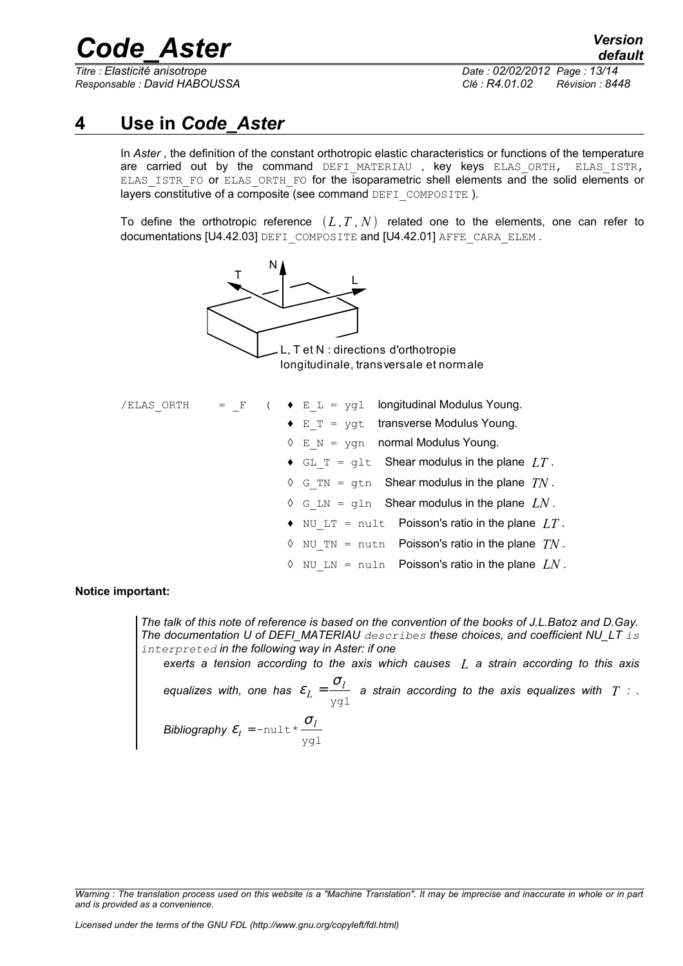*Titre : Elasticité anisotrope Date : 02/02/2012 Page : 13/14*

*Responsable : David HABOUSSA Clé : R4.01.02 Révision : 8448*

### **4 Use in** *Code\_Aster*

<span id="page-12-0"></span>In *Aster* , the definition of the constant orthotropic elastic characteristics or functions of the temperature are carried out by the command DEFI\_MATERIAU , key keys ELAS\_ORTH, ELAS\_ISTR, ELAS ISTR FO or ELAS ORTH FO for the isoparametric shell elements and the solid elements or layers constitutive of a composite (see command DEFI\_COMPOSITE).

To define the orthotropic reference  $(L, T, N)$  related one to the elements, one can refer to documentations [U4.42.03] DEFI\_COMPOSITE and [U4.42.01] AFFE\_CARA\_ELEM.



| /ELAS ORTH = F |  | $\bullet$ E L = ygl longitudinal Modulus Young.             |
|----------------|--|-------------------------------------------------------------|
|                |  | $\bullet$ E T = yqt transverse Modulus Young.               |
|                |  | $\Diamond$ E N = ygn normal Modulus Young.                  |
|                |  | $\bullet$ GL T = glt Shear modulus in the plane $LT$ .      |
|                |  | $\Diamond$ G TN = gtn Shear modulus in the plane $TN$ .     |
|                |  | $\Diamond$ G LN = gln Shear modulus in the plane $LN$ .     |
|                |  | $\bullet$ NU LT = nult Poisson's ratio in the plane $LT$ .  |
|                |  | $\Diamond$ NU TN = nutn Poisson's ratio in the plane $TN$ . |
|                |  | NU LN = nuln Poisson's ratio in the plane $LN$ .<br>♦       |

**Notice important:**

*The talk of this note of reference is based on the convention of the books of J.L.Batoz and D.Gay. The documentation U of DEFI\_MATERIAU describes these choices, and coefficient NU\_LT is interpreted in the following way in Aster: if one exerts a tension according to the axis which causes L a strain according to this axis equalizes with, one has*  ygl *l L*  $\varepsilon_L = \frac{\sigma_l}{\sigma}$  a strain according to the axis equalizes with  $T$  : . *Bibliography*  ygl  $-$ nult\* $\frac{O_l}{\cdot}$ *t*  $\varepsilon_{t}$  = -nult\*  $\frac{\sigma}{\sqrt{2}}$ 

*Warning : The translation process used on this website is a "Machine Translation". It may be imprecise and inaccurate in whole or in part and is provided as a convenience.*